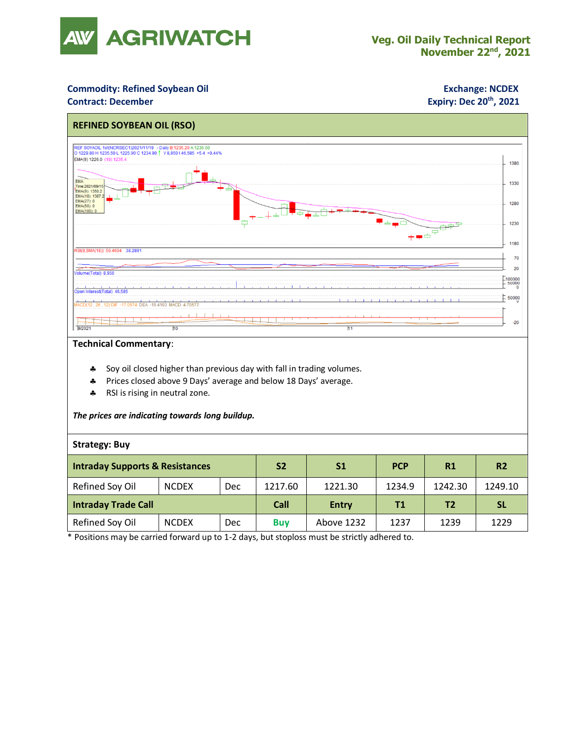

## **Commodity: Refined Soybean Oil <b>Exchange: NCDEX**

### **Contract: December**

# **Expiry: Dec 20<sup>th</sup>, 2021**



### **Technical Commentary**:

- **Soy oil closed higher than previous day with fall in trading volumes.**
- Prices closed above 9 Days' average and below 18 Days' average.
- \* RSI is rising in neutral zone.

*The prices are indicating towards long buildup.*

### **Strategy: Buy**

| <b>Intraday Supports &amp; Resistances</b> |              |     | S <sub>2</sub> | S <sub>1</sub> | <b>PCP</b> | R1             | R <sub>2</sub> |
|--------------------------------------------|--------------|-----|----------------|----------------|------------|----------------|----------------|
| Refined Soy Oil                            | <b>NCDEX</b> | Dec | 1217.60        | 1221.30        | 1234.9     | 1242.30        | 1249.10        |
| Intraday Trade Call                        |              |     | Call           | <b>Entry</b>   | Τ1         | T <sub>2</sub> | <b>SL</b>      |
| Refined Soy Oil                            | <b>NCDEX</b> | Dec | <b>Buv</b>     | Above 1232     | 1237       | 1239           | 1229           |

\* Positions may be carried forward up to 1-2 days, but stoploss must be strictly adhered to.